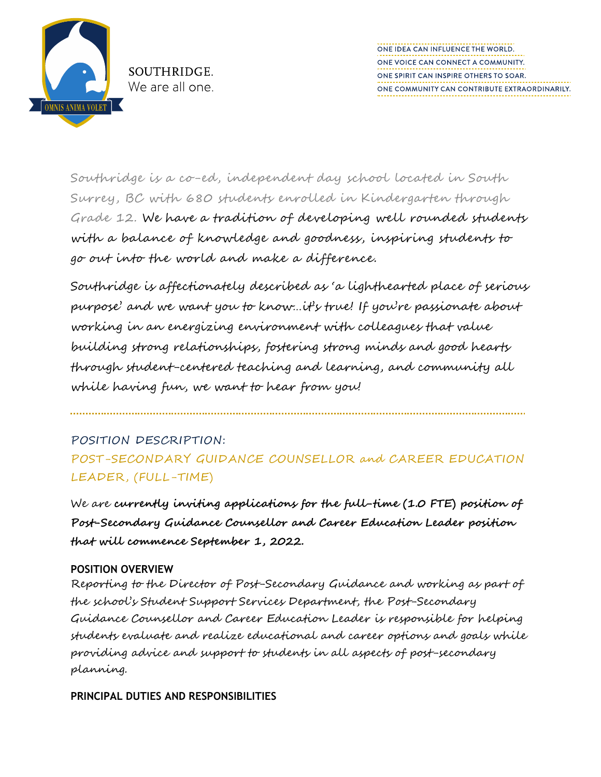

SOUTHRIDGE. We are all one. ONE IDEA CAN INFLUENCE THE WORLD. ONE VOICE CAN CONNECT A COMMUNITY. ONE SPIRIT CAN INSPIRE OTHERS TO SOAR. ONE COMMUNITY CAN CONTRIBUTE EXTRAORDINARILY.

Southridge is a co-ed, independent day school located in South Surrey, BC with 680 students enrolled in Kindergarten through Grade 12. We have a tradition of developing well rounded students with a balance of knowledge and goodness, inspiring students to go out into the world and make a difference.

Southridge is affectionately described as 'a lighthearted place of serious purpose' and we want you to know…it's true! If you're passionate about working in an energizing environment with colleagues that value building strong relationships, fostering strong minds and good hearts through student-centered teaching and learning, and community all while having fun, we want to hear from you!

## POSITION DESCRIPTION: POST-SECONDARY GUIDANCE COUNSELLOR and CAREER EDUCATION LEADER, (FULL-TIME)

We are **currently inviting applications for the full-time (1.0 FTE) position of Post-Secondary Guidance Counsellor and Career Education Leader position that will commence September 1, 2022.** 

## **POSITION OVERVIEW**

Reporting to the Director of Post-Secondary Guidance and working as part of the school's Student Support Services Department, the Post-Secondary Guidance Counsellor and Career Education Leader is responsible for helping students evaluate and realize educational and career options and goals while providing advice and support to students in all aspects of post-secondary planning.

**PRINCIPAL DUTIES AND RESPONSIBILITIES**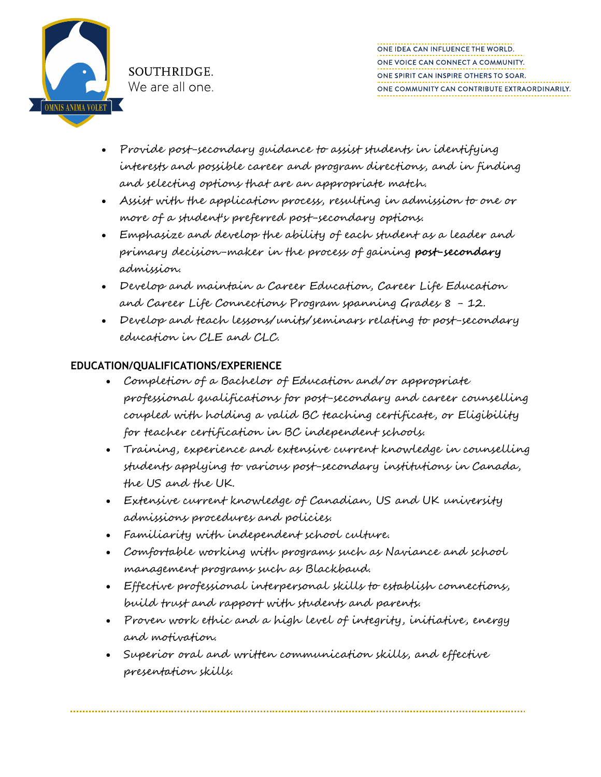

- Provide post-secondary guidance to assist students in identifying interests and possible career and program directions, and in finding and selecting options that are an appropriate match.
- Assist with the application process, resulting in admission to one or more of a student's preferred post-secondary options.
- Emphasize and develop the ability of each student as a leader and primary decision-maker in the process of gaining **post-secondary** admission.
- Develop and maintain a Career Education, Career Life Education and Career Life Connections Program spanning Grades 8 - 12.
- Develop and teach lessons/units/seminars relating to post-secondary education in CLE and CLC.

## **EDUCATION/QUALIFICATIONS/EXPERIENCE**

- Completion of a Bachelor of Education and/or appropriate professional qualifications for post-secondary and career counselling coupled with holding a valid BC teaching certificate, or Eligibility for teacher certification in BC independent schools.
- Training, experience and extensive current knowledge in counselling students applying to various post-secondary institutions in Canada, the US and the UK.
- Extensive current knowledge of Canadian, US and UK university admissions procedures and policies.
- Familiarity with independent school culture.
- Comfortable working with programs such as Naviance and school management programs such as Blackbaud.
- Effective professional interpersonal skills to establish connections, build trust and rapport with students and parents.
- Proven work ethic and a high level of integrity, initiative, energy and motivation.
- Superior oral and written communication skills, and effective presentation skills.